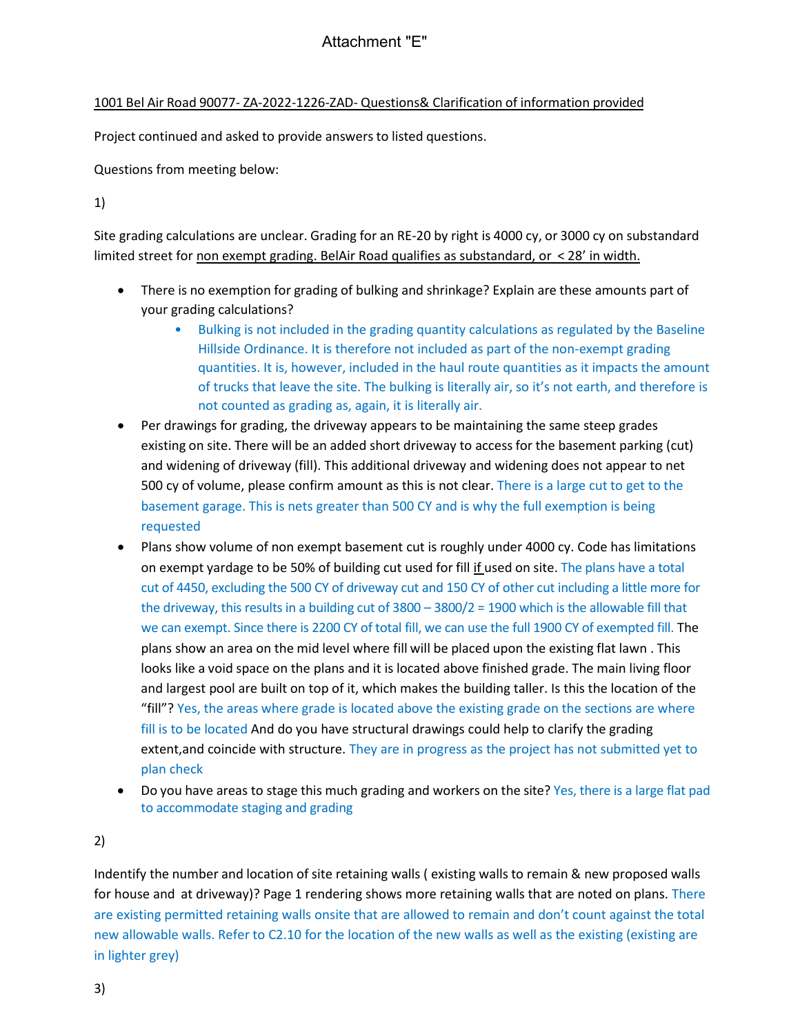1001 Bel Air Road 90077- ZA-2022-1226-ZAD- Questions& Clarification of information provided

Project continued and asked to provide answers to listed questions.

Questions from meeting below:

1)

Site grading calculations are unclear. Grading for an RE-20 by right is 4000 cy, or 3000 cy on substandard limited street for non exempt grading. BelAir Road qualifies as substandard, or < 28' in width.

- There is no exemption for grading of bulking and shrinkage? Explain are these amounts part of your grading calculations?
	- Bulking is not included in the grading quantity calculations as regulated by the Baseline Hillside Ordinance. It is therefore not included as part of the non-exempt grading quantities. It is, however, included in the haul route quantities as it impacts the amount of trucks that leave the site. The bulking is literally air, so it's not earth, and therefore is not counted as grading as, again, it is literally air.
- Per drawings for grading, the driveway appears to be maintaining the same steep grades existing on site. There will be an added short driveway to access for the basement parking (cut) and widening of driveway (fill). This additional driveway and widening does not appear to net 500 cy of volume, please confirm amount as this is not clear. There is a large cut to get to the basement garage. This is nets greater than 500 CY and is why the full exemption is being requested
- Plans show volume of non exempt basement cut is roughly under 4000 cy. Code has limitations on exempt yardage to be 50% of building cut used for fill if used on site. The plans have a total cut of 4450, excluding the 500 CY of driveway cut and 150 CY of other cut including a little more for the driveway, this results in a building cut of 3800 – 3800/2 = 1900 which is the allowable fill that we can exempt. Since there is 2200 CY of total fill, we can use the full 1900 CY of exempted fill. The plans show an area on the mid level where fill will be placed upon the existing flat lawn . This looks like a void space on the plans and it is located above finished grade. The main living floor and largest pool are built on top of it, which makes the building taller. Is this the location of the "fill"? Yes, the areas where grade is located above the existing grade on the sections are where fill is to be located And do you have structural drawings could help to clarify the grading extent,and coincide with structure. They are in progress as the project has not submitted yet to plan check
- Do you have areas to stage this much grading and workers on the site? Yes, there is a large flat pad to accommodate staging and grading

2)

Indentify the number and location of site retaining walls ( existing walls to remain & new proposed walls for house and at driveway)? Page 1 rendering shows more retaining walls that are noted on plans. There are existing permitted retaining walls onsite that are allowed to remain and don't count against the total new allowable walls. Refer to C2.10 for the location of the new walls as well as the existing (existing are in lighter grey)